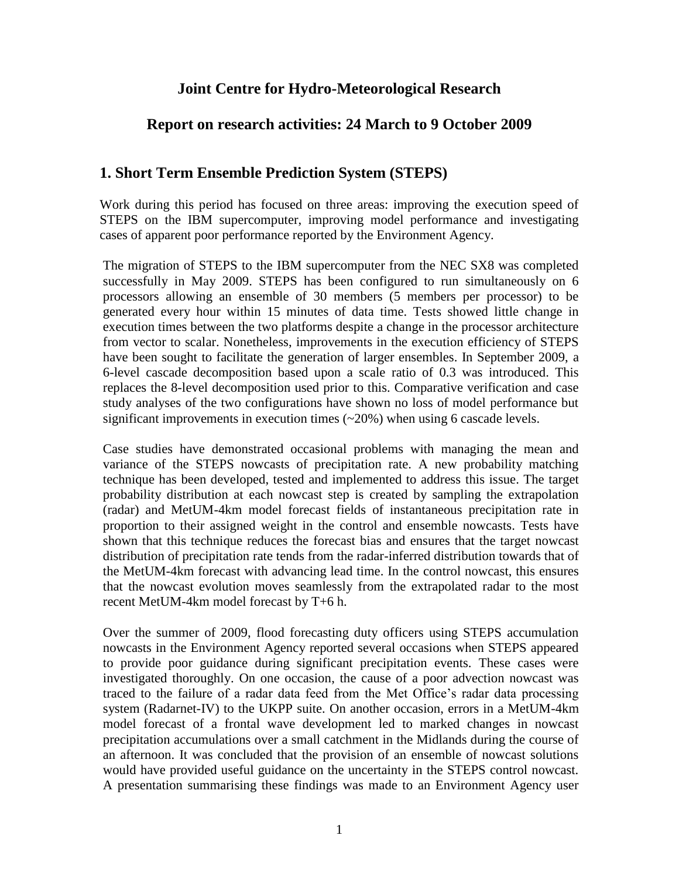# **Joint Centre for Hydro-Meteorological Research**

## **Report on research activities: 24 March to 9 October 2009**

## **1. Short Term Ensemble Prediction System (STEPS)**

Work during this period has focused on three areas: improving the execution speed of STEPS on the IBM supercomputer, improving model performance and investigating cases of apparent poor performance reported by the Environment Agency.

The migration of STEPS to the IBM supercomputer from the NEC SX8 was completed successfully in May 2009. STEPS has been configured to run simultaneously on 6 processors allowing an ensemble of 30 members (5 members per processor) to be generated every hour within 15 minutes of data time. Tests showed little change in execution times between the two platforms despite a change in the processor architecture from vector to scalar. Nonetheless, improvements in the execution efficiency of STEPS have been sought to facilitate the generation of larger ensembles. In September 2009, a 6-level cascade decomposition based upon a scale ratio of 0.3 was introduced. This replaces the 8-level decomposition used prior to this. Comparative verification and case study analyses of the two configurations have shown no loss of model performance but significant improvements in execution times (~20%) when using 6 cascade levels.

Case studies have demonstrated occasional problems with managing the mean and variance of the STEPS nowcasts of precipitation rate. A new probability matching technique has been developed, tested and implemented to address this issue. The target probability distribution at each nowcast step is created by sampling the extrapolation (radar) and MetUM-4km model forecast fields of instantaneous precipitation rate in proportion to their assigned weight in the control and ensemble nowcasts. Tests have shown that this technique reduces the forecast bias and ensures that the target nowcast distribution of precipitation rate tends from the radar-inferred distribution towards that of the MetUM-4km forecast with advancing lead time. In the control nowcast, this ensures that the nowcast evolution moves seamlessly from the extrapolated radar to the most recent MetUM-4km model forecast by T+6 h.

Over the summer of 2009, flood forecasting duty officers using STEPS accumulation nowcasts in the Environment Agency reported several occasions when STEPS appeared to provide poor guidance during significant precipitation events. These cases were investigated thoroughly. On one occasion, the cause of a poor advection nowcast was traced to the failure of a radar data feed from the Met Office"s radar data processing system (Radarnet-IV) to the UKPP suite. On another occasion, errors in a MetUM-4km model forecast of a frontal wave development led to marked changes in nowcast precipitation accumulations over a small catchment in the Midlands during the course of an afternoon. It was concluded that the provision of an ensemble of nowcast solutions would have provided useful guidance on the uncertainty in the STEPS control nowcast. A presentation summarising these findings was made to an Environment Agency user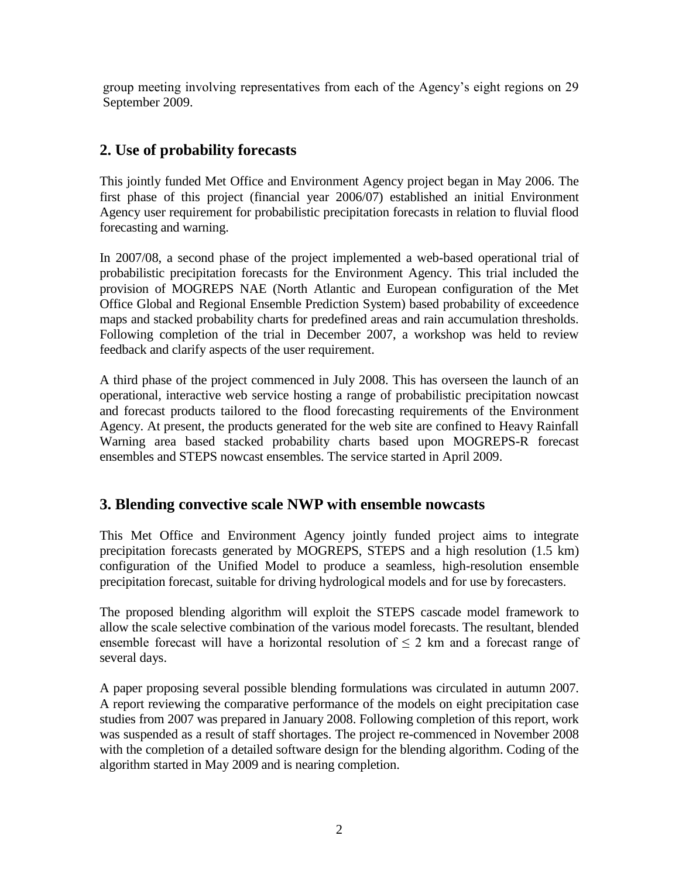group meeting involving representatives from each of the Agency"s eight regions on 29 September 2009.

# **2. Use of probability forecasts**

This jointly funded Met Office and Environment Agency project began in May 2006. The first phase of this project (financial year 2006/07) established an initial Environment Agency user requirement for probabilistic precipitation forecasts in relation to fluvial flood forecasting and warning.

In 2007/08, a second phase of the project implemented a web-based operational trial of probabilistic precipitation forecasts for the Environment Agency. This trial included the provision of MOGREPS NAE (North Atlantic and European configuration of the Met Office Global and Regional Ensemble Prediction System) based probability of exceedence maps and stacked probability charts for predefined areas and rain accumulation thresholds. Following completion of the trial in December 2007, a workshop was held to review feedback and clarify aspects of the user requirement.

A third phase of the project commenced in July 2008. This has overseen the launch of an operational, interactive web service hosting a range of probabilistic precipitation nowcast and forecast products tailored to the flood forecasting requirements of the Environment Agency. At present, the products generated for the web site are confined to Heavy Rainfall Warning area based stacked probability charts based upon MOGREPS-R forecast ensembles and STEPS nowcast ensembles. The service started in April 2009.

# **3. Blending convective scale NWP with ensemble nowcasts**

This Met Office and Environment Agency jointly funded project aims to integrate precipitation forecasts generated by MOGREPS, STEPS and a high resolution (1.5 km) configuration of the Unified Model to produce a seamless, high-resolution ensemble precipitation forecast, suitable for driving hydrological models and for use by forecasters.

The proposed blending algorithm will exploit the STEPS cascade model framework to allow the scale selective combination of the various model forecasts. The resultant, blended ensemble forecast will have a horizontal resolution of  $\leq 2$  km and a forecast range of several days.

A paper proposing several possible blending formulations was circulated in autumn 2007. A report reviewing the comparative performance of the models on eight precipitation case studies from 2007 was prepared in January 2008. Following completion of this report, work was suspended as a result of staff shortages. The project re-commenced in November 2008 with the completion of a detailed software design for the blending algorithm. Coding of the algorithm started in May 2009 and is nearing completion.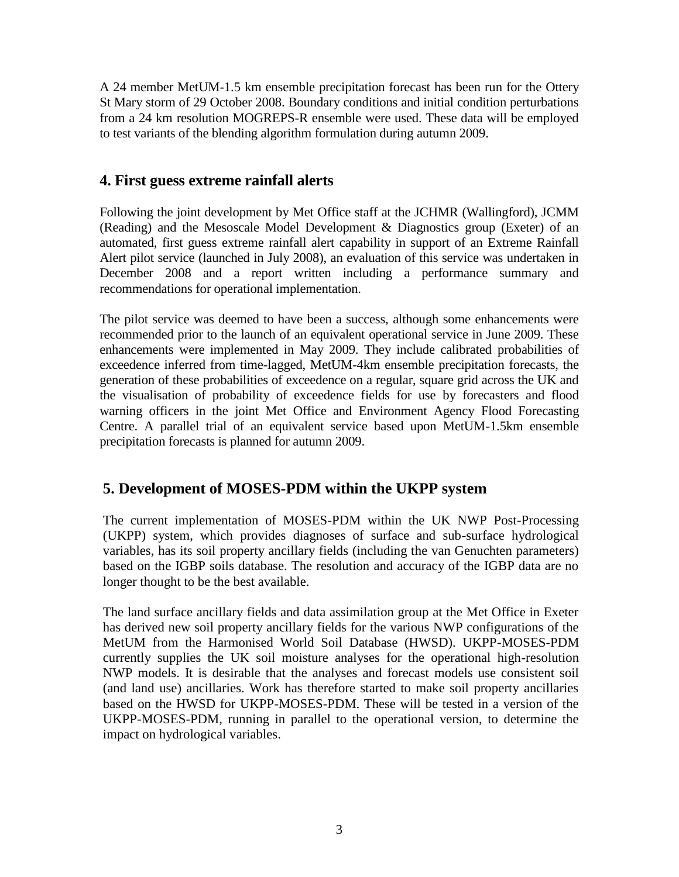A 24 member MetUM-1.5 km ensemble precipitation forecast has been run for the Ottery St Mary storm of 29 October 2008. Boundary conditions and initial condition perturbations from a 24 km resolution MOGREPS-R ensemble were used. These data will be employed to test variants of the blending algorithm formulation during autumn 2009.

# **4. First guess extreme rainfall alerts**

Following the joint development by Met Office staff at the JCHMR (Wallingford), JCMM (Reading) and the Mesoscale Model Development & Diagnostics group (Exeter) of an automated, first guess extreme rainfall alert capability in support of an Extreme Rainfall Alert pilot service (launched in July 2008), an evaluation of this service was undertaken in December 2008 and a report written including a performance summary and recommendations for operational implementation.

The pilot service was deemed to have been a success, although some enhancements were recommended prior to the launch of an equivalent operational service in June 2009. These enhancements were implemented in May 2009. They include calibrated probabilities of exceedence inferred from time-lagged, MetUM-4km ensemble precipitation forecasts, the generation of these probabilities of exceedence on a regular, square grid across the UK and the visualisation of probability of exceedence fields for use by forecasters and flood warning officers in the joint Met Office and Environment Agency Flood Forecasting Centre. A parallel trial of an equivalent service based upon MetUM-1.5km ensemble precipitation forecasts is planned for autumn 2009.

# **5. Development of MOSES-PDM within the UKPP system**

The current implementation of MOSES-PDM within the UK NWP Post-Processing (UKPP) system, which provides diagnoses of surface and sub-surface hydrological variables, has its soil property ancillary fields (including the van Genuchten parameters) based on the IGBP soils database. The resolution and accuracy of the IGBP data are no longer thought to be the best available.

The land surface ancillary fields and data assimilation group at the Met Office in Exeter has derived new soil property ancillary fields for the various NWP configurations of the MetUM from the Harmonised World Soil Database (HWSD). UKPP-MOSES-PDM currently supplies the UK soil moisture analyses for the operational high-resolution NWP models. It is desirable that the analyses and forecast models use consistent soil (and land use) ancillaries. Work has therefore started to make soil property ancillaries based on the HWSD for UKPP-MOSES-PDM. These will be tested in a version of the UKPP-MOSES-PDM, running in parallel to the operational version, to determine the impact on hydrological variables.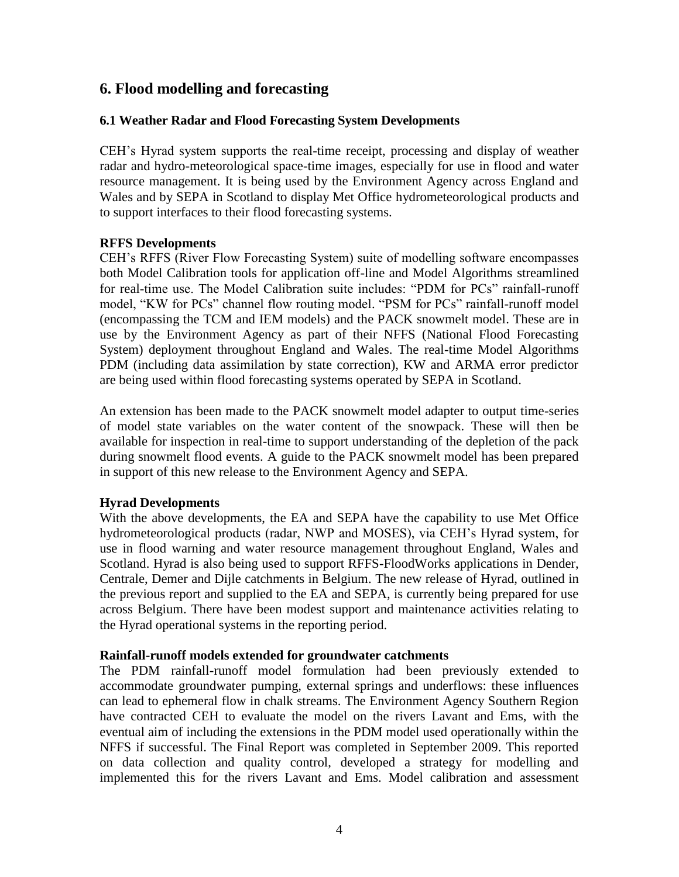## **6. Flood modelling and forecasting**

### **6.1 Weather Radar and Flood Forecasting System Developments**

CEH"s Hyrad system supports the real-time receipt, processing and display of weather radar and hydro-meteorological space-time images, especially for use in flood and water resource management. It is being used by the Environment Agency across England and Wales and by SEPA in Scotland to display Met Office hydrometeorological products and to support interfaces to their flood forecasting systems.

#### **RFFS Developments**

CEH"s RFFS (River Flow Forecasting System) suite of modelling software encompasses both Model Calibration tools for application off-line and Model Algorithms streamlined for real-time use. The Model Calibration suite includes: "PDM for PCs" rainfall-runoff model, "KW for PCs" channel flow routing model. "PSM for PCs" rainfall-runoff model (encompassing the TCM and IEM models) and the PACK snowmelt model. These are in use by the Environment Agency as part of their NFFS (National Flood Forecasting System) deployment throughout England and Wales. The real-time Model Algorithms PDM (including data assimilation by state correction), KW and ARMA error predictor are being used within flood forecasting systems operated by SEPA in Scotland.

An extension has been made to the PACK snowmelt model adapter to output time-series of model state variables on the water content of the snowpack. These will then be available for inspection in real-time to support understanding of the depletion of the pack during snowmelt flood events. A guide to the PACK snowmelt model has been prepared in support of this new release to the Environment Agency and SEPA.

#### **Hyrad Developments**

With the above developments, the EA and SEPA have the capability to use Met Office hydrometeorological products (radar, NWP and MOSES), via CEH"s Hyrad system, for use in flood warning and water resource management throughout England, Wales and Scotland. Hyrad is also being used to support RFFS-FloodWorks applications in Dender, Centrale, Demer and Dijle catchments in Belgium. The new release of Hyrad, outlined in the previous report and supplied to the EA and SEPA, is currently being prepared for use across Belgium. There have been modest support and maintenance activities relating to the Hyrad operational systems in the reporting period.

#### **Rainfall-runoff models extended for groundwater catchments**

The PDM rainfall-runoff model formulation had been previously extended to accommodate groundwater pumping, external springs and underflows: these influences can lead to ephemeral flow in chalk streams. The Environment Agency Southern Region have contracted CEH to evaluate the model on the rivers Lavant and Ems, with the eventual aim of including the extensions in the PDM model used operationally within the NFFS if successful. The Final Report was completed in September 2009. This reported on data collection and quality control, developed a strategy for modelling and implemented this for the rivers Lavant and Ems. Model calibration and assessment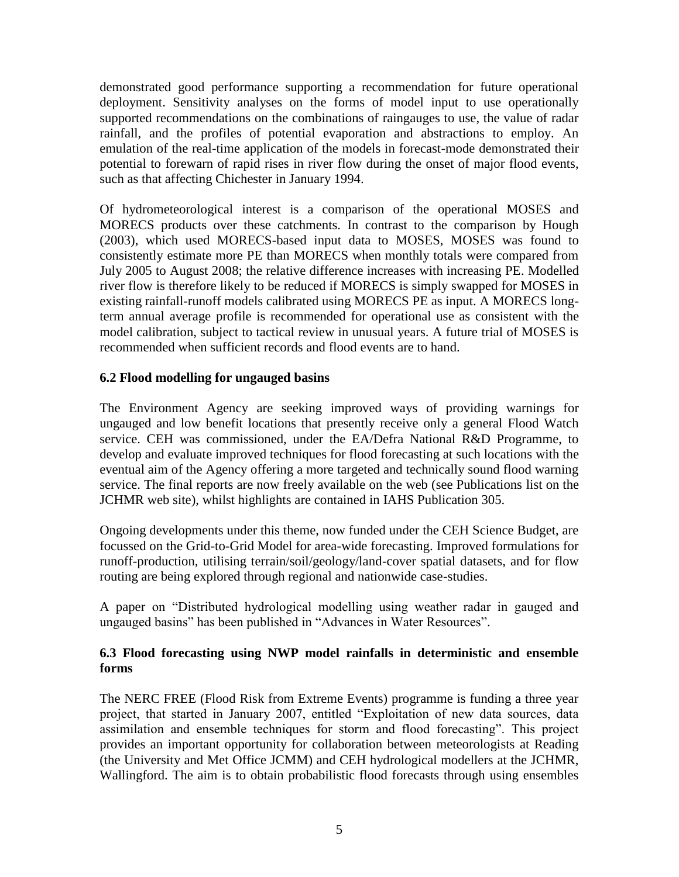demonstrated good performance supporting a recommendation for future operational deployment. Sensitivity analyses on the forms of model input to use operationally supported recommendations on the combinations of raingauges to use, the value of radar rainfall, and the profiles of potential evaporation and abstractions to employ. An emulation of the real-time application of the models in forecast-mode demonstrated their potential to forewarn of rapid rises in river flow during the onset of major flood events, such as that affecting Chichester in January 1994.

Of hydrometeorological interest is a comparison of the operational MOSES and MORECS products over these catchments. In contrast to the comparison by Hough (2003), which used MORECS-based input data to MOSES, MOSES was found to consistently estimate more PE than MORECS when monthly totals were compared from July 2005 to August 2008; the relative difference increases with increasing PE. Modelled river flow is therefore likely to be reduced if MORECS is simply swapped for MOSES in existing rainfall-runoff models calibrated using MORECS PE as input. A MORECS longterm annual average profile is recommended for operational use as consistent with the model calibration, subject to tactical review in unusual years. A future trial of MOSES is recommended when sufficient records and flood events are to hand.

## **6.2 Flood modelling for ungauged basins**

The Environment Agency are seeking improved ways of providing warnings for ungauged and low benefit locations that presently receive only a general Flood Watch service. CEH was commissioned, under the EA/Defra National R&D Programme, to develop and evaluate improved techniques for flood forecasting at such locations with the eventual aim of the Agency offering a more targeted and technically sound flood warning service. The final reports are now freely available on the web (see Publications list on the JCHMR web site), whilst highlights are contained in IAHS Publication 305.

Ongoing developments under this theme, now funded under the CEH Science Budget, are focussed on the Grid-to-Grid Model for area-wide forecasting. Improved formulations for runoff-production, utilising terrain/soil/geology/land-cover spatial datasets, and for flow routing are being explored through regional and nationwide case-studies.

A paper on "Distributed hydrological modelling using weather radar in gauged and ungauged basins" has been published in "Advances in Water Resources".

## **6.3 Flood forecasting using NWP model rainfalls in deterministic and ensemble forms**

The NERC FREE (Flood Risk from Extreme Events) programme is funding a three year project, that started in January 2007, entitled "Exploitation of new data sources, data assimilation and ensemble techniques for storm and flood forecasting". This project provides an important opportunity for collaboration between meteorologists at Reading (the University and Met Office JCMM) and CEH hydrological modellers at the JCHMR, Wallingford. The aim is to obtain probabilistic flood forecasts through using ensembles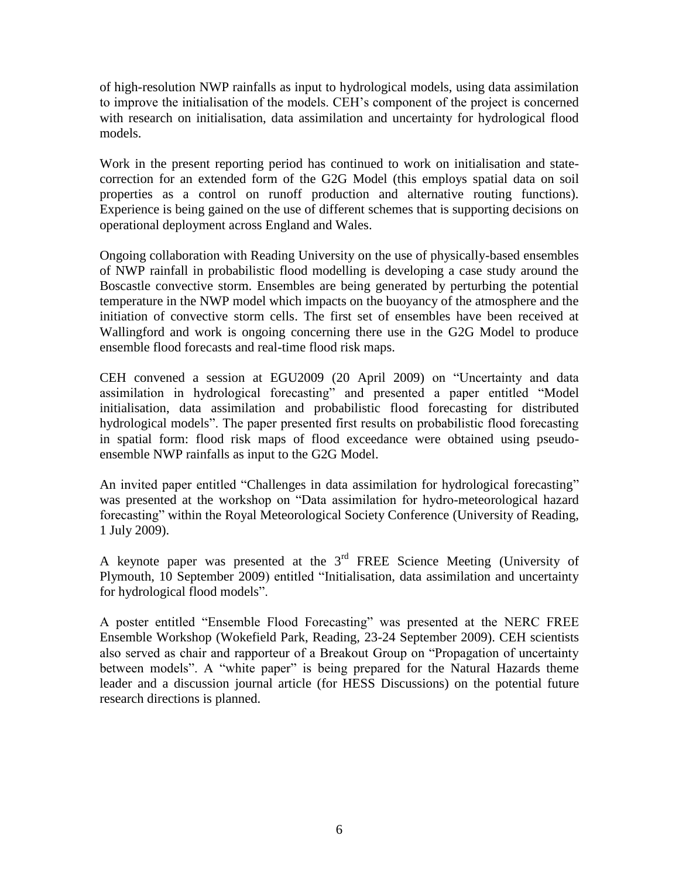of high-resolution NWP rainfalls as input to hydrological models, using data assimilation to improve the initialisation of the models. CEH"s component of the project is concerned with research on initialisation, data assimilation and uncertainty for hydrological flood models.

Work in the present reporting period has continued to work on initialisation and statecorrection for an extended form of the G2G Model (this employs spatial data on soil properties as a control on runoff production and alternative routing functions). Experience is being gained on the use of different schemes that is supporting decisions on operational deployment across England and Wales.

Ongoing collaboration with Reading University on the use of physically-based ensembles of NWP rainfall in probabilistic flood modelling is developing a case study around the Boscastle convective storm. Ensembles are being generated by perturbing the potential temperature in the NWP model which impacts on the buoyancy of the atmosphere and the initiation of convective storm cells. The first set of ensembles have been received at Wallingford and work is ongoing concerning there use in the G2G Model to produce ensemble flood forecasts and real-time flood risk maps.

CEH convened a session at EGU2009 (20 April 2009) on "Uncertainty and data assimilation in hydrological forecasting" and presented a paper entitled "Model initialisation, data assimilation and probabilistic flood forecasting for distributed hydrological models". The paper presented first results on probabilistic flood forecasting in spatial form: flood risk maps of flood exceedance were obtained using pseudoensemble NWP rainfalls as input to the G2G Model.

An invited paper entitled "Challenges in data assimilation for hydrological forecasting" was presented at the workshop on "Data assimilation for hydro-meteorological hazard forecasting" within the Royal Meteorological Society Conference (University of Reading, 1 July 2009).

A keynote paper was presented at the 3rd FREE Science Meeting (University of Plymouth, 10 September 2009) entitled "Initialisation, data assimilation and uncertainty for hydrological flood models".

A poster entitled "Ensemble Flood Forecasting" was presented at the NERC FREE Ensemble Workshop (Wokefield Park, Reading, 23-24 September 2009). CEH scientists also served as chair and rapporteur of a Breakout Group on "Propagation of uncertainty between models". A "white paper" is being prepared for the Natural Hazards theme leader and a discussion journal article (for HESS Discussions) on the potential future research directions is planned.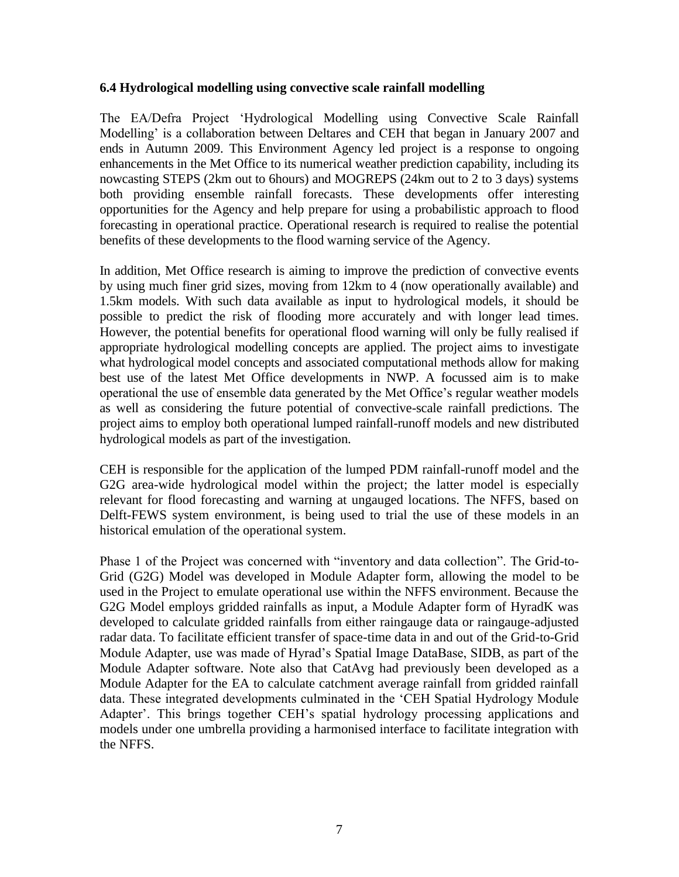#### **6.4 Hydrological modelling using convective scale rainfall modelling**

The EA/Defra Project "Hydrological Modelling using Convective Scale Rainfall Modelling' is a collaboration between Deltares and CEH that began in January 2007 and ends in Autumn 2009. This Environment Agency led project is a response to ongoing enhancements in the Met Office to its numerical weather prediction capability, including its nowcasting STEPS (2km out to 6hours) and MOGREPS (24km out to 2 to 3 days) systems both providing ensemble rainfall forecasts. These developments offer interesting opportunities for the Agency and help prepare for using a probabilistic approach to flood forecasting in operational practice. Operational research is required to realise the potential benefits of these developments to the flood warning service of the Agency.

In addition, Met Office research is aiming to improve the prediction of convective events by using much finer grid sizes, moving from 12km to 4 (now operationally available) and 1.5km models. With such data available as input to hydrological models, it should be possible to predict the risk of flooding more accurately and with longer lead times. However, the potential benefits for operational flood warning will only be fully realised if appropriate hydrological modelling concepts are applied. The project aims to investigate what hydrological model concepts and associated computational methods allow for making best use of the latest Met Office developments in NWP. A focussed aim is to make operational the use of ensemble data generated by the Met Office"s regular weather models as well as considering the future potential of convective-scale rainfall predictions. The project aims to employ both operational lumped rainfall-runoff models and new distributed hydrological models as part of the investigation.

CEH is responsible for the application of the lumped PDM rainfall-runoff model and the G2G area-wide hydrological model within the project; the latter model is especially relevant for flood forecasting and warning at ungauged locations. The NFFS, based on Delft-FEWS system environment, is being used to trial the use of these models in an historical emulation of the operational system.

Phase 1 of the Project was concerned with "inventory and data collection". The Grid-to-Grid (G2G) Model was developed in Module Adapter form, allowing the model to be used in the Project to emulate operational use within the NFFS environment. Because the G2G Model employs gridded rainfalls as input, a Module Adapter form of HyradK was developed to calculate gridded rainfalls from either raingauge data or raingauge-adjusted radar data. To facilitate efficient transfer of space-time data in and out of the Grid-to-Grid Module Adapter, use was made of Hyrad"s Spatial Image DataBase, SIDB, as part of the Module Adapter software. Note also that CatAvg had previously been developed as a Module Adapter for the EA to calculate catchment average rainfall from gridded rainfall data. These integrated developments culminated in the "CEH Spatial Hydrology Module Adapter'. This brings together CEH's spatial hydrology processing applications and models under one umbrella providing a harmonised interface to facilitate integration with the NFFS.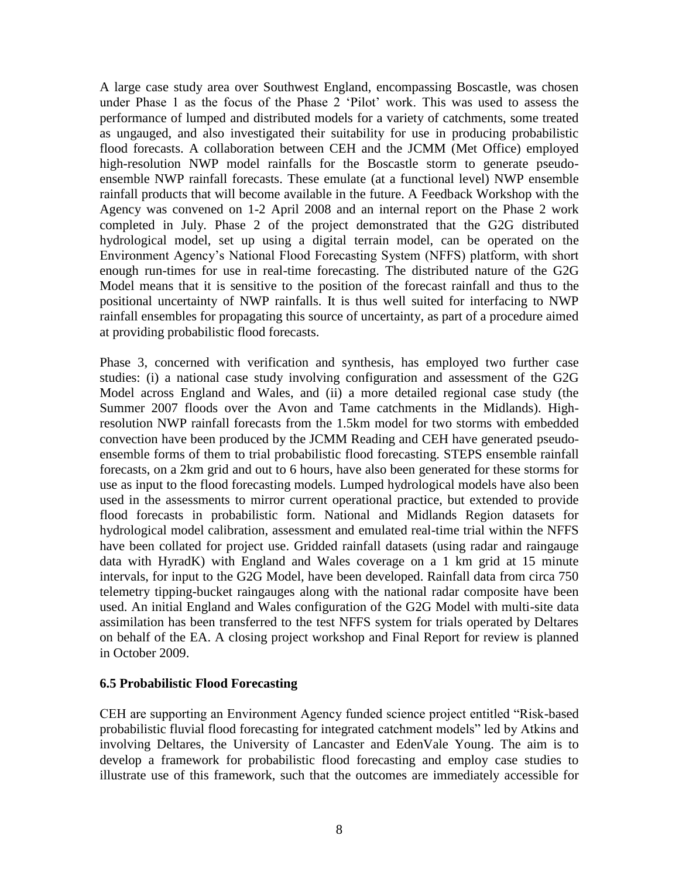A large case study area over Southwest England, encompassing Boscastle, was chosen under Phase 1 as the focus of the Phase 2 "Pilot" work. This was used to assess the performance of lumped and distributed models for a variety of catchments, some treated as ungauged, and also investigated their suitability for use in producing probabilistic flood forecasts. A collaboration between CEH and the JCMM (Met Office) employed high-resolution NWP model rainfalls for the Boscastle storm to generate pseudoensemble NWP rainfall forecasts. These emulate (at a functional level) NWP ensemble rainfall products that will become available in the future. A Feedback Workshop with the Agency was convened on 1-2 April 2008 and an internal report on the Phase 2 work completed in July. Phase 2 of the project demonstrated that the G2G distributed hydrological model, set up using a digital terrain model, can be operated on the Environment Agency"s National Flood Forecasting System (NFFS) platform, with short enough run-times for use in real-time forecasting. The distributed nature of the G2G Model means that it is sensitive to the position of the forecast rainfall and thus to the positional uncertainty of NWP rainfalls. It is thus well suited for interfacing to NWP rainfall ensembles for propagating this source of uncertainty, as part of a procedure aimed at providing probabilistic flood forecasts.

Phase 3, concerned with verification and synthesis, has employed two further case studies: (i) a national case study involving configuration and assessment of the G2G Model across England and Wales, and (ii) a more detailed regional case study (the Summer 2007 floods over the Avon and Tame catchments in the Midlands). Highresolution NWP rainfall forecasts from the 1.5km model for two storms with embedded convection have been produced by the JCMM Reading and CEH have generated pseudoensemble forms of them to trial probabilistic flood forecasting. STEPS ensemble rainfall forecasts, on a 2km grid and out to 6 hours, have also been generated for these storms for use as input to the flood forecasting models. Lumped hydrological models have also been used in the assessments to mirror current operational practice, but extended to provide flood forecasts in probabilistic form. National and Midlands Region datasets for hydrological model calibration, assessment and emulated real-time trial within the NFFS have been collated for project use. Gridded rainfall datasets (using radar and raingauge data with HyradK) with England and Wales coverage on a 1 km grid at 15 minute intervals, for input to the G2G Model, have been developed. Rainfall data from circa 750 telemetry tipping-bucket raingauges along with the national radar composite have been used. An initial England and Wales configuration of the G2G Model with multi-site data assimilation has been transferred to the test NFFS system for trials operated by Deltares on behalf of the EA. A closing project workshop and Final Report for review is planned in October 2009.

#### **6.5 Probabilistic Flood Forecasting**

CEH are supporting an Environment Agency funded science project entitled "Risk-based probabilistic fluvial flood forecasting for integrated catchment models" led by Atkins and involving Deltares, the University of Lancaster and EdenVale Young. The aim is to develop a framework for probabilistic flood forecasting and employ case studies to illustrate use of this framework, such that the outcomes are immediately accessible for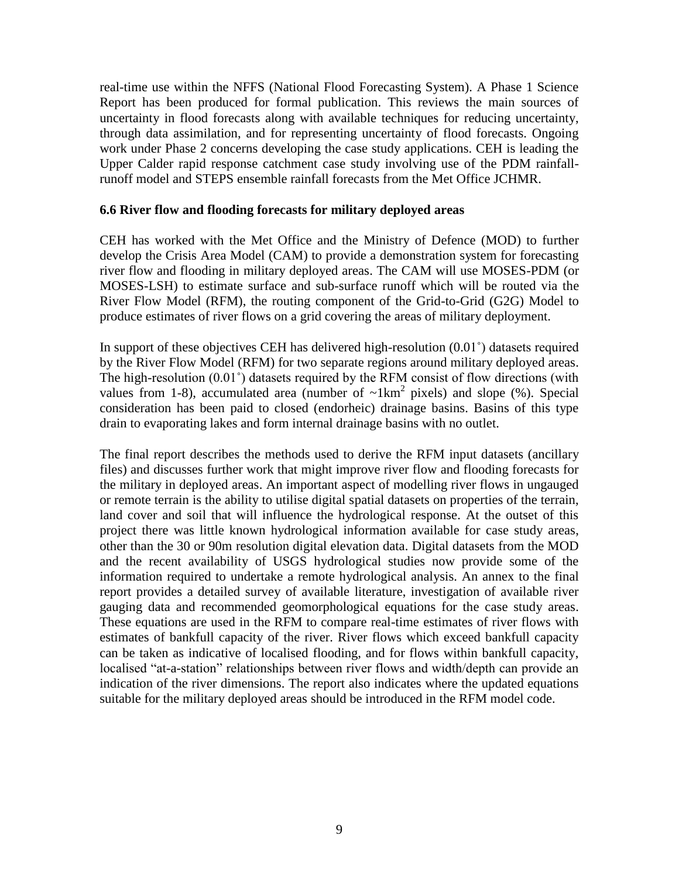real-time use within the NFFS (National Flood Forecasting System). A Phase 1 Science Report has been produced for formal publication. This reviews the main sources of uncertainty in flood forecasts along with available techniques for reducing uncertainty, through data assimilation, and for representing uncertainty of flood forecasts. Ongoing work under Phase 2 concerns developing the case study applications. CEH is leading the Upper Calder rapid response catchment case study involving use of the PDM rainfallrunoff model and STEPS ensemble rainfall forecasts from the Met Office JCHMR.

#### **6.6 River flow and flooding forecasts for military deployed areas**

CEH has worked with the Met Office and the Ministry of Defence (MOD) to further develop the Crisis Area Model (CAM) to provide a demonstration system for forecasting river flow and flooding in military deployed areas. The CAM will use MOSES-PDM (or MOSES-LSH) to estimate surface and sub-surface runoff which will be routed via the River Flow Model (RFM), the routing component of the Grid-to-Grid (G2G) Model to produce estimates of river flows on a grid covering the areas of military deployment.

In support of these objectives CEH has delivered high-resolution (0.01˚) datasets required by the River Flow Model (RFM) for two separate regions around military deployed areas. The high-resolution (0.01˚) datasets required by the RFM consist of flow directions (with values from 1-8), accumulated area (number of  $\sim$ 1km<sup>2</sup> pixels) and slope (%). Special consideration has been paid to closed (endorheic) drainage basins. Basins of this type drain to evaporating lakes and form internal drainage basins with no outlet.

The final report describes the methods used to derive the RFM input datasets (ancillary files) and discusses further work that might improve river flow and flooding forecasts for the military in deployed areas. An important aspect of modelling river flows in ungauged or remote terrain is the ability to utilise digital spatial datasets on properties of the terrain, land cover and soil that will influence the hydrological response. At the outset of this project there was little known hydrological information available for case study areas, other than the 30 or 90m resolution digital elevation data. Digital datasets from the MOD and the recent availability of USGS hydrological studies now provide some of the information required to undertake a remote hydrological analysis. An annex to the final report provides a detailed survey of available literature, investigation of available river gauging data and recommended geomorphological equations for the case study areas. These equations are used in the RFM to compare real-time estimates of river flows with estimates of bankfull capacity of the river. River flows which exceed bankfull capacity can be taken as indicative of localised flooding, and for flows within bankfull capacity, localised "at-a-station" relationships between river flows and width/depth can provide an indication of the river dimensions. The report also indicates where the updated equations suitable for the military deployed areas should be introduced in the RFM model code.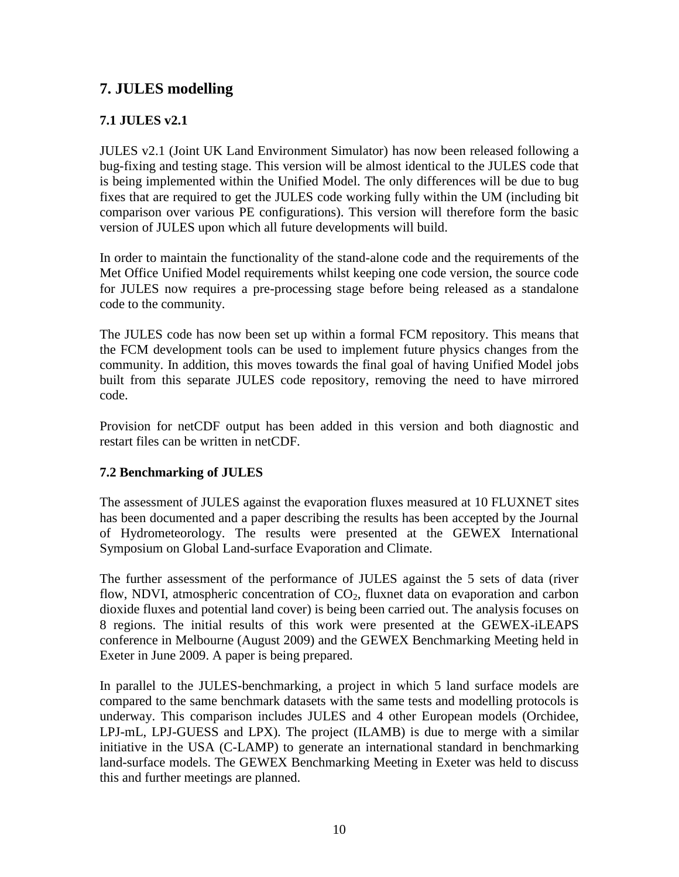# **7. JULES modelling**

## **7.1 JULES v2.1**

JULES v2.1 (Joint UK Land Environment Simulator) has now been released following a bug-fixing and testing stage. This version will be almost identical to the JULES code that is being implemented within the Unified Model. The only differences will be due to bug fixes that are required to get the JULES code working fully within the UM (including bit comparison over various PE configurations). This version will therefore form the basic version of JULES upon which all future developments will build.

In order to maintain the functionality of the stand-alone code and the requirements of the Met Office Unified Model requirements whilst keeping one code version, the source code for JULES now requires a pre-processing stage before being released as a standalone code to the community.

The JULES code has now been set up within a formal FCM repository. This means that the FCM development tools can be used to implement future physics changes from the community. In addition, this moves towards the final goal of having Unified Model jobs built from this separate JULES code repository, removing the need to have mirrored code.

Provision for netCDF output has been added in this version and both diagnostic and restart files can be written in netCDF.

## **7.2 Benchmarking of JULES**

The assessment of JULES against the evaporation fluxes measured at 10 FLUXNET sites has been documented and a paper describing the results has been accepted by the Journal of Hydrometeorology. The results were presented at the GEWEX International Symposium on Global Land-surface Evaporation and Climate.

The further assessment of the performance of JULES against the 5 sets of data (river flow, NDVI, atmospheric concentration of  $CO<sub>2</sub>$ , fluxnet data on evaporation and carbon dioxide fluxes and potential land cover) is being been carried out. The analysis focuses on 8 regions. The initial results of this work were presented at the GEWEX-iLEAPS conference in Melbourne (August 2009) and the GEWEX Benchmarking Meeting held in Exeter in June 2009. A paper is being prepared.

In parallel to the JULES-benchmarking, a project in which 5 land surface models are compared to the same benchmark datasets with the same tests and modelling protocols is underway. This comparison includes JULES and 4 other European models (Orchidee, LPJ-mL, LPJ-GUESS and LPX). The project (ILAMB) is due to merge with a similar initiative in the USA (C-LAMP) to generate an international standard in benchmarking land-surface models. The GEWEX Benchmarking Meeting in Exeter was held to discuss this and further meetings are planned.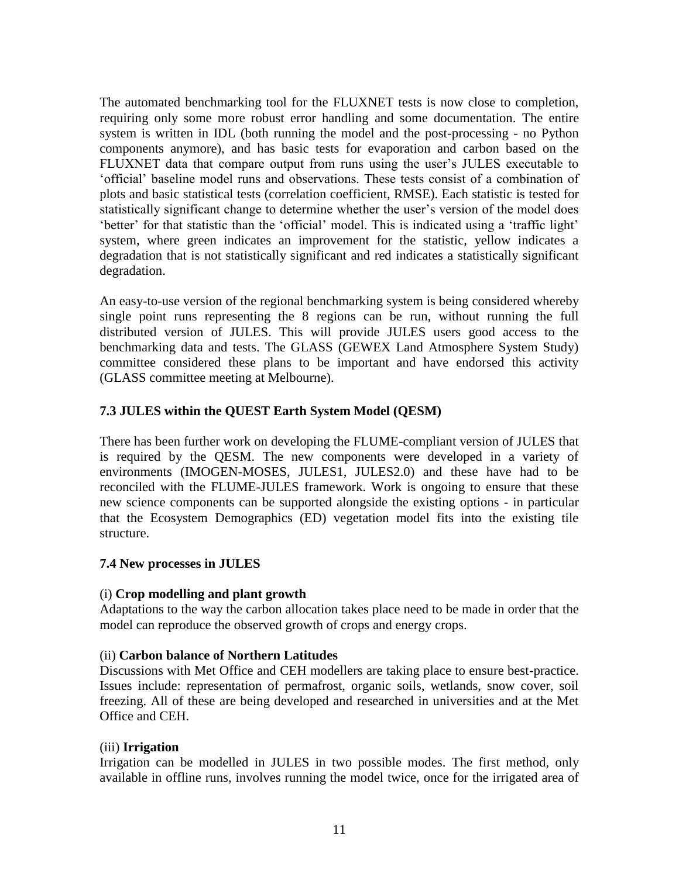The automated benchmarking tool for the FLUXNET tests is now close to completion, requiring only some more robust error handling and some documentation. The entire system is written in IDL (both running the model and the post-processing - no Python components anymore), and has basic tests for evaporation and carbon based on the FLUXNET data that compare output from runs using the user's JULES executable to "official" baseline model runs and observations. These tests consist of a combination of plots and basic statistical tests (correlation coefficient, RMSE). Each statistic is tested for statistically significant change to determine whether the user"s version of the model does "better" for that statistic than the "official" model. This is indicated using a "traffic light" system, where green indicates an improvement for the statistic, yellow indicates a degradation that is not statistically significant and red indicates a statistically significant degradation.

An easy-to-use version of the regional benchmarking system is being considered whereby single point runs representing the 8 regions can be run, without running the full distributed version of JULES. This will provide JULES users good access to the benchmarking data and tests. The GLASS (GEWEX Land Atmosphere System Study) committee considered these plans to be important and have endorsed this activity (GLASS committee meeting at Melbourne).

## **7.3 JULES within the QUEST Earth System Model (QESM)**

There has been further work on developing the FLUME-compliant version of JULES that is required by the QESM. The new components were developed in a variety of environments (IMOGEN-MOSES, JULES1, JULES2.0) and these have had to be reconciled with the FLUME-JULES framework. Work is ongoing to ensure that these new science components can be supported alongside the existing options - in particular that the Ecosystem Demographics (ED) vegetation model fits into the existing tile structure.

## **7.4 New processes in JULES**

## (i) **Crop modelling and plant growth**

Adaptations to the way the carbon allocation takes place need to be made in order that the model can reproduce the observed growth of crops and energy crops.

#### (ii) **Carbon balance of Northern Latitudes**

Discussions with Met Office and CEH modellers are taking place to ensure best-practice. Issues include: representation of permafrost, organic soils, wetlands, snow cover, soil freezing. All of these are being developed and researched in universities and at the Met Office and CEH.

#### (iii) **Irrigation**

Irrigation can be modelled in JULES in two possible modes. The first method, only available in offline runs, involves running the model twice, once for the irrigated area of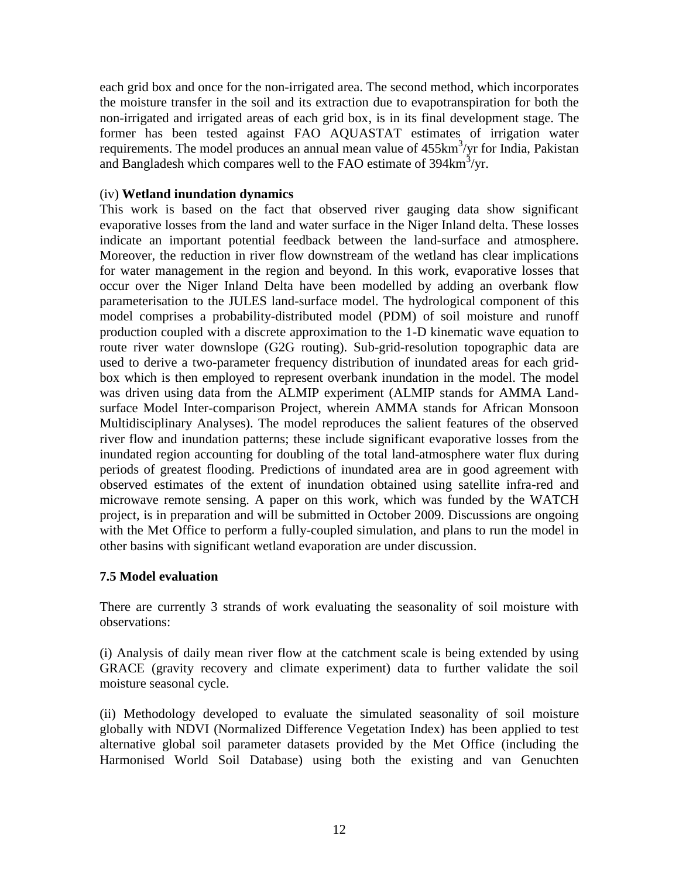each grid box and once for the non-irrigated area. The second method, which incorporates the moisture transfer in the soil and its extraction due to evapotranspiration for both the non-irrigated and irrigated areas of each grid box, is in its final development stage. The former has been tested against FAO AQUASTAT estimates of irrigation water requirements. The model produces an annual mean value of  $455 \text{km}^3/\text{yr}$  for India, Pakistan and Bangladesh which compares well to the FAO estimate of  $394 \text{km}^3/\text{yr}$ .

### (iv) **Wetland inundation dynamics**

This work is based on the fact that observed river gauging data show significant evaporative losses from the land and water surface in the Niger Inland delta. These losses indicate an important potential feedback between the land-surface and atmosphere. Moreover, the reduction in river flow downstream of the wetland has clear implications for water management in the region and beyond. In this work, evaporative losses that occur over the Niger Inland Delta have been modelled by adding an overbank flow parameterisation to the JULES land-surface model. The hydrological component of this model comprises a probability-distributed model (PDM) of soil moisture and runoff production coupled with a discrete approximation to the 1-D kinematic wave equation to route river water downslope (G2G routing). Sub-grid-resolution topographic data are used to derive a two-parameter frequency distribution of inundated areas for each gridbox which is then employed to represent overbank inundation in the model. The model was driven using data from the ALMIP experiment (ALMIP stands for AMMA Landsurface Model Inter-comparison Project, wherein AMMA stands for African Monsoon Multidisciplinary Analyses). The model reproduces the salient features of the observed river flow and inundation patterns; these include significant evaporative losses from the inundated region accounting for doubling of the total land-atmosphere water flux during periods of greatest flooding. Predictions of inundated area are in good agreement with observed estimates of the extent of inundation obtained using satellite infra-red and microwave remote sensing. A paper on this work, which was funded by the WATCH project, is in preparation and will be submitted in October 2009. Discussions are ongoing with the Met Office to perform a fully-coupled simulation, and plans to run the model in other basins with significant wetland evaporation are under discussion.

## **7.5 Model evaluation**

There are currently 3 strands of work evaluating the seasonality of soil moisture with observations:

(i) Analysis of daily mean river flow at the catchment scale is being extended by using GRACE (gravity recovery and climate experiment) data to further validate the soil moisture seasonal cycle.

(ii) Methodology developed to evaluate the simulated seasonality of soil moisture globally with NDVI (Normalized Difference Vegetation Index) has been applied to test alternative global soil parameter datasets provided by the Met Office (including the Harmonised World Soil Database) using both the existing and van Genuchten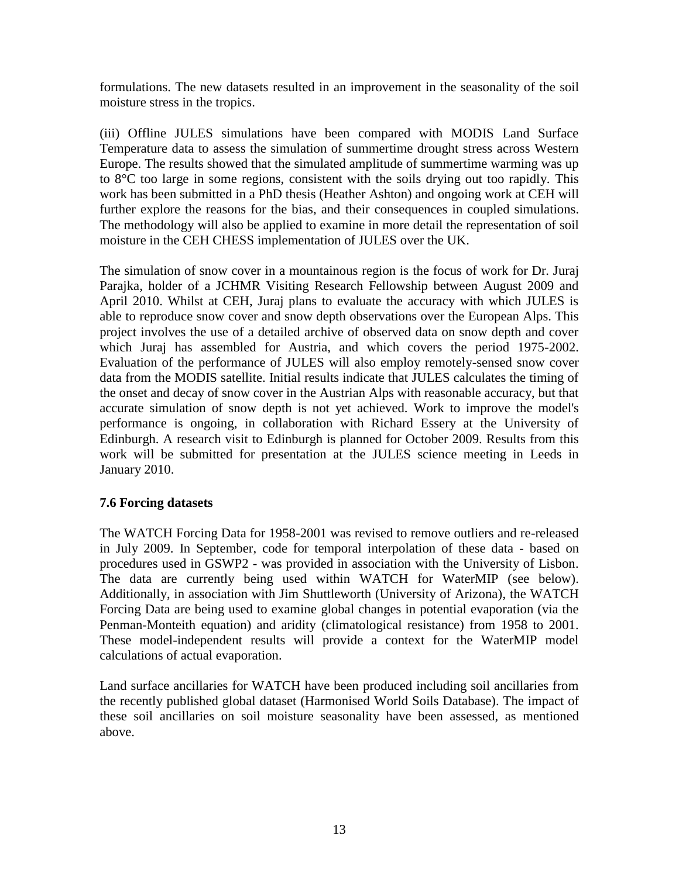formulations. The new datasets resulted in an improvement in the seasonality of the soil moisture stress in the tropics.

(iii) Offline JULES simulations have been compared with MODIS Land Surface Temperature data to assess the simulation of summertime drought stress across Western Europe. The results showed that the simulated amplitude of summertime warming was up to 8°C too large in some regions, consistent with the soils drying out too rapidly. This work has been submitted in a PhD thesis (Heather Ashton) and ongoing work at CEH will further explore the reasons for the bias, and their consequences in coupled simulations. The methodology will also be applied to examine in more detail the representation of soil moisture in the CEH CHESS implementation of JULES over the UK.

The simulation of snow cover in a mountainous region is the focus of work for Dr. Juraj Parajka, holder of a JCHMR Visiting Research Fellowship between August 2009 and April 2010. Whilst at CEH, Juraj plans to evaluate the accuracy with which JULES is able to reproduce snow cover and snow depth observations over the European Alps. This project involves the use of a detailed archive of observed data on snow depth and cover which Juraj has assembled for Austria, and which covers the period 1975-2002. Evaluation of the performance of JULES will also employ remotely-sensed snow cover data from the MODIS satellite. Initial results indicate that JULES calculates the timing of the onset and decay of snow cover in the Austrian Alps with reasonable accuracy, but that accurate simulation of snow depth is not yet achieved. Work to improve the model's performance is ongoing, in collaboration with Richard Essery at the University of Edinburgh. A research visit to Edinburgh is planned for October 2009. Results from this work will be submitted for presentation at the JULES science meeting in Leeds in January 2010.

## **7.6 Forcing datasets**

The WATCH Forcing Data for 1958-2001 was revised to remove outliers and re-released in July 2009. In September, code for temporal interpolation of these data - based on procedures used in GSWP2 - was provided in association with the University of Lisbon. The data are currently being used within WATCH for WaterMIP (see below). Additionally, in association with Jim Shuttleworth (University of Arizona), the WATCH Forcing Data are being used to examine global changes in potential evaporation (via the Penman-Monteith equation) and aridity (climatological resistance) from 1958 to 2001. These model-independent results will provide a context for the WaterMIP model calculations of actual evaporation.

Land surface ancillaries for WATCH have been produced including soil ancillaries from the recently published global dataset (Harmonised World Soils Database). The impact of these soil ancillaries on soil moisture seasonality have been assessed, as mentioned above.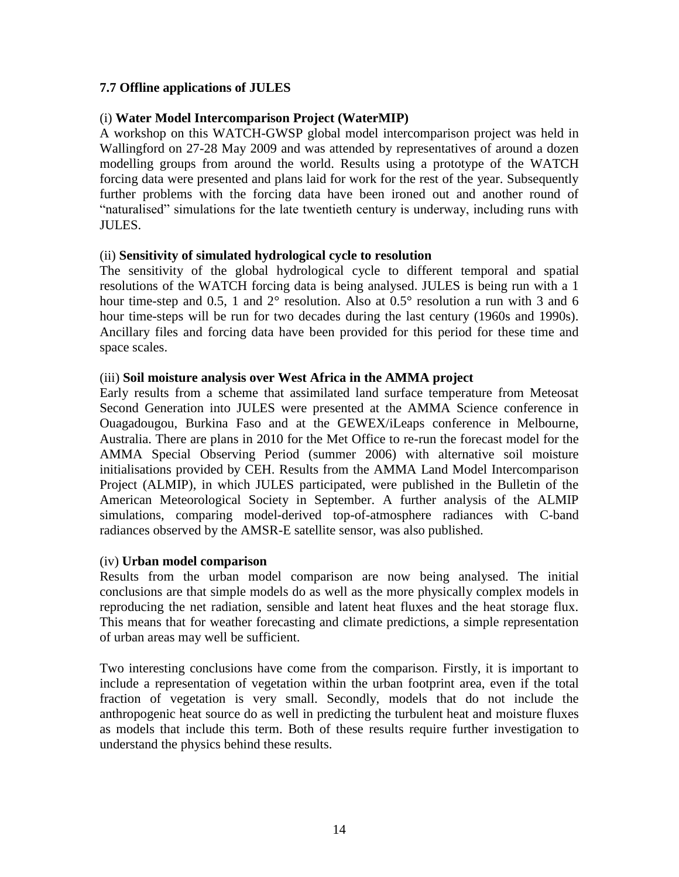## **7.7 Offline applications of JULES**

#### (i) **Water Model Intercomparison Project (WaterMIP)**

A workshop on this WATCH-GWSP global model intercomparison project was held in Wallingford on 27-28 May 2009 and was attended by representatives of around a dozen modelling groups from around the world. Results using a prototype of the WATCH forcing data were presented and plans laid for work for the rest of the year. Subsequently further problems with the forcing data have been ironed out and another round of "naturalised" simulations for the late twentieth century is underway, including runs with JULES.

#### (ii) **Sensitivity of simulated hydrological cycle to resolution**

The sensitivity of the global hydrological cycle to different temporal and spatial resolutions of the WATCH forcing data is being analysed. JULES is being run with a 1 hour time-step and 0.5, 1 and  $2^{\circ}$  resolution. Also at 0.5° resolution a run with 3 and 6 hour time-steps will be run for two decades during the last century (1960s and 1990s). Ancillary files and forcing data have been provided for this period for these time and space scales.

## (iii) **Soil moisture analysis over West Africa in the AMMA project**

Early results from a scheme that assimilated land surface temperature from Meteosat Second Generation into JULES were presented at the AMMA Science conference in Ouagadougou, Burkina Faso and at the GEWEX/iLeaps conference in Melbourne, Australia. There are plans in 2010 for the Met Office to re-run the forecast model for the AMMA Special Observing Period (summer 2006) with alternative soil moisture initialisations provided by CEH. Results from the AMMA Land Model Intercomparison Project (ALMIP), in which JULES participated, were published in the Bulletin of the American Meteorological Society in September. A further analysis of the ALMIP simulations, comparing model-derived top-of-atmosphere radiances with C-band radiances observed by the AMSR-E satellite sensor, was also published.

#### (iv) **Urban model comparison**

Results from the urban model comparison are now being analysed. The initial conclusions are that simple models do as well as the more physically complex models in reproducing the net radiation, sensible and latent heat fluxes and the heat storage flux. This means that for weather forecasting and climate predictions, a simple representation of urban areas may well be sufficient.

Two interesting conclusions have come from the comparison. Firstly, it is important to include a representation of vegetation within the urban footprint area, even if the total fraction of vegetation is very small. Secondly, models that do not include the anthropogenic heat source do as well in predicting the turbulent heat and moisture fluxes as models that include this term. Both of these results require further investigation to understand the physics behind these results.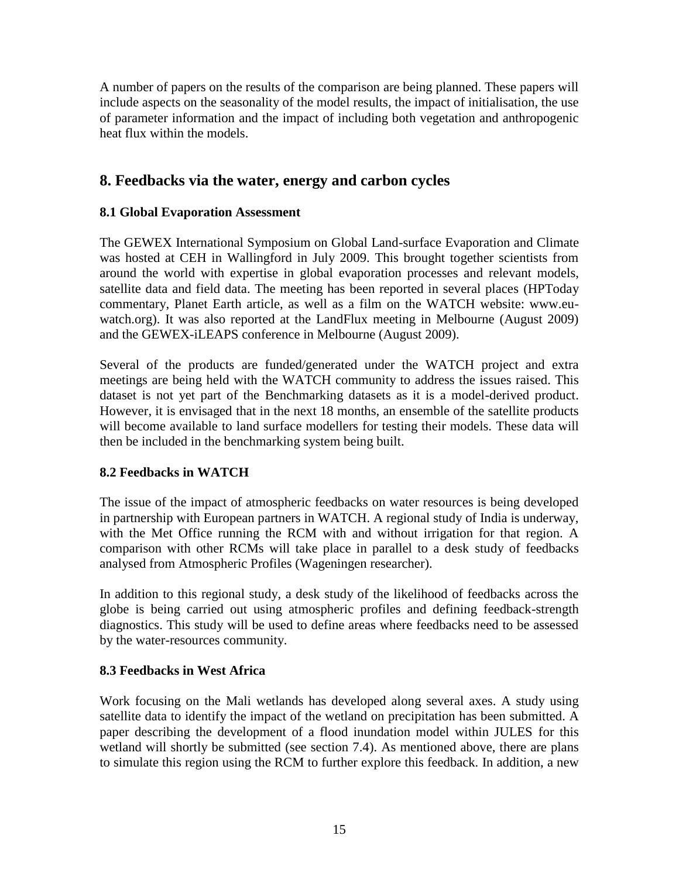A number of papers on the results of the comparison are being planned. These papers will include aspects on the seasonality of the model results, the impact of initialisation, the use of parameter information and the impact of including both vegetation and anthropogenic heat flux within the models.

# **8. Feedbacks via the water, energy and carbon cycles**

## **8.1 Global Evaporation Assessment**

The GEWEX International Symposium on Global Land-surface Evaporation and Climate was hosted at CEH in Wallingford in July 2009. This brought together scientists from around the world with expertise in global evaporation processes and relevant models, satellite data and field data. The meeting has been reported in several places (HPToday commentary, Planet Earth article, as well as a film on the WATCH website: www.euwatch.org). It was also reported at the LandFlux meeting in Melbourne (August 2009) and the GEWEX-iLEAPS conference in Melbourne (August 2009).

Several of the products are funded/generated under the WATCH project and extra meetings are being held with the WATCH community to address the issues raised. This dataset is not yet part of the Benchmarking datasets as it is a model-derived product. However, it is envisaged that in the next 18 months, an ensemble of the satellite products will become available to land surface modellers for testing their models. These data will then be included in the benchmarking system being built.

## **8.2 Feedbacks in WATCH**

The issue of the impact of atmospheric feedbacks on water resources is being developed in partnership with European partners in WATCH. A regional study of India is underway, with the Met Office running the RCM with and without irrigation for that region. A comparison with other RCMs will take place in parallel to a desk study of feedbacks analysed from Atmospheric Profiles (Wageningen researcher).

In addition to this regional study, a desk study of the likelihood of feedbacks across the globe is being carried out using atmospheric profiles and defining feedback-strength diagnostics. This study will be used to define areas where feedbacks need to be assessed by the water-resources community.

#### **8.3 Feedbacks in West Africa**

Work focusing on the Mali wetlands has developed along several axes. A study using satellite data to identify the impact of the wetland on precipitation has been submitted. A paper describing the development of a flood inundation model within JULES for this wetland will shortly be submitted (see section 7.4). As mentioned above, there are plans to simulate this region using the RCM to further explore this feedback. In addition, a new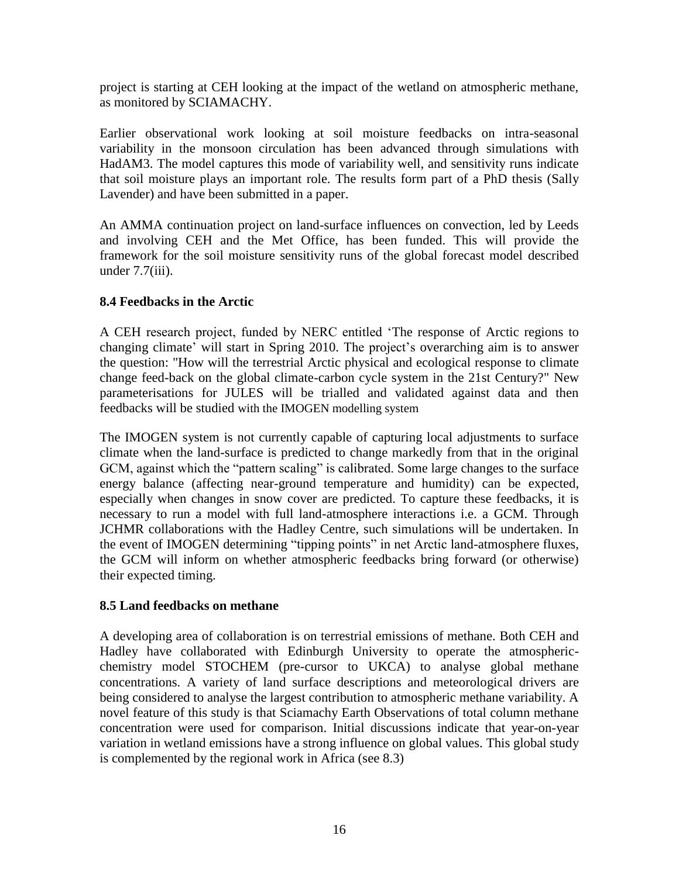project is starting at CEH looking at the impact of the wetland on atmospheric methane, as monitored by SCIAMACHY.

Earlier observational work looking at soil moisture feedbacks on intra-seasonal variability in the monsoon circulation has been advanced through simulations with HadAM3. The model captures this mode of variability well, and sensitivity runs indicate that soil moisture plays an important role. The results form part of a PhD thesis (Sally Lavender) and have been submitted in a paper.

An AMMA continuation project on land-surface influences on convection, led by Leeds and involving CEH and the Met Office, has been funded. This will provide the framework for the soil moisture sensitivity runs of the global forecast model described under  $7.7$ (iii).

## **8.4 Feedbacks in the Arctic**

A CEH research project, funded by NERC entitled "The response of Arctic regions to changing climate' will start in Spring 2010. The project's overarching aim is to answer the question: "How will the terrestrial Arctic physical and ecological response to climate change feed-back on the global climate-carbon cycle system in the 21st Century?" New parameterisations for JULES will be trialled and validated against data and then feedbacks will be studied with the IMOGEN modelling system

The IMOGEN system is not currently capable of capturing local adjustments to surface climate when the land-surface is predicted to change markedly from that in the original GCM, against which the "pattern scaling" is calibrated. Some large changes to the surface energy balance (affecting near-ground temperature and humidity) can be expected, especially when changes in snow cover are predicted. To capture these feedbacks, it is necessary to run a model with full land-atmosphere interactions i.e. a GCM. Through JCHMR collaborations with the Hadley Centre, such simulations will be undertaken. In the event of IMOGEN determining "tipping points" in net Arctic land-atmosphere fluxes, the GCM will inform on whether atmospheric feedbacks bring forward (or otherwise) their expected timing.

## **8.5 Land feedbacks on methane**

A developing area of collaboration is on terrestrial emissions of methane. Both CEH and Hadley have collaborated with Edinburgh University to operate the atmosphericchemistry model STOCHEM (pre-cursor to UKCA) to analyse global methane concentrations. A variety of land surface descriptions and meteorological drivers are being considered to analyse the largest contribution to atmospheric methane variability. A novel feature of this study is that Sciamachy Earth Observations of total column methane concentration were used for comparison. Initial discussions indicate that year-on-year variation in wetland emissions have a strong influence on global values. This global study is complemented by the regional work in Africa (see 8.3)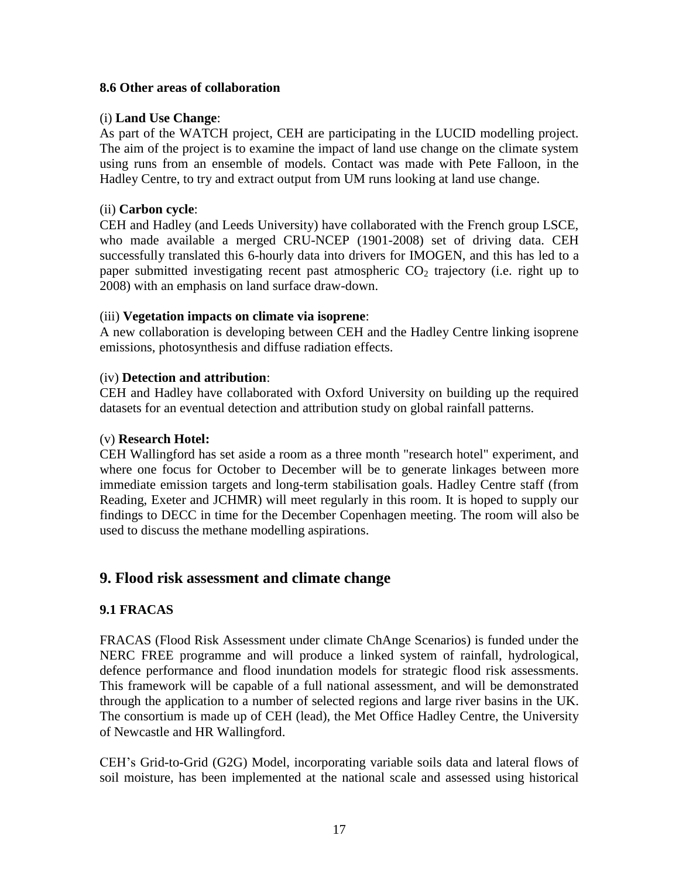## **8.6 Other areas of collaboration**

## (i) **Land Use Change**:

As part of the WATCH project, CEH are participating in the LUCID modelling project. The aim of the project is to examine the impact of land use change on the climate system using runs from an ensemble of models. Contact was made with Pete Falloon, in the Hadley Centre, to try and extract output from UM runs looking at land use change.

### (ii) **Carbon cycle**:

CEH and Hadley (and Leeds University) have collaborated with the French group LSCE, who made available a merged CRU-NCEP (1901-2008) set of driving data. CEH successfully translated this 6-hourly data into drivers for IMOGEN, and this has led to a paper submitted investigating recent past atmospheric  $CO<sub>2</sub>$  trajectory (i.e. right up to 2008) with an emphasis on land surface draw-down.

## (iii) **Vegetation impacts on climate via isoprene**:

A new collaboration is developing between CEH and the Hadley Centre linking isoprene emissions, photosynthesis and diffuse radiation effects.

## (iv) **Detection and attribution**:

CEH and Hadley have collaborated with Oxford University on building up the required datasets for an eventual detection and attribution study on global rainfall patterns.

#### (v) **Research Hotel:**

CEH Wallingford has set aside a room as a three month "research hotel" experiment, and where one focus for October to December will be to generate linkages between more immediate emission targets and long-term stabilisation goals. Hadley Centre staff (from Reading, Exeter and JCHMR) will meet regularly in this room. It is hoped to supply our findings to DECC in time for the December Copenhagen meeting. The room will also be used to discuss the methane modelling aspirations.

## **9. Flood risk assessment and climate change**

## **9.1 FRACAS**

FRACAS (Flood Risk Assessment under climate ChAnge Scenarios) is funded under the NERC FREE programme and will produce a linked system of rainfall, hydrological, defence performance and flood inundation models for strategic flood risk assessments. This framework will be capable of a full national assessment, and will be demonstrated through the application to a number of selected regions and large river basins in the UK. The consortium is made up of CEH (lead), the Met Office Hadley Centre, the University of Newcastle and HR Wallingford.

CEH"s Grid-to-Grid (G2G) Model, incorporating variable soils data and lateral flows of soil moisture, has been implemented at the national scale and assessed using historical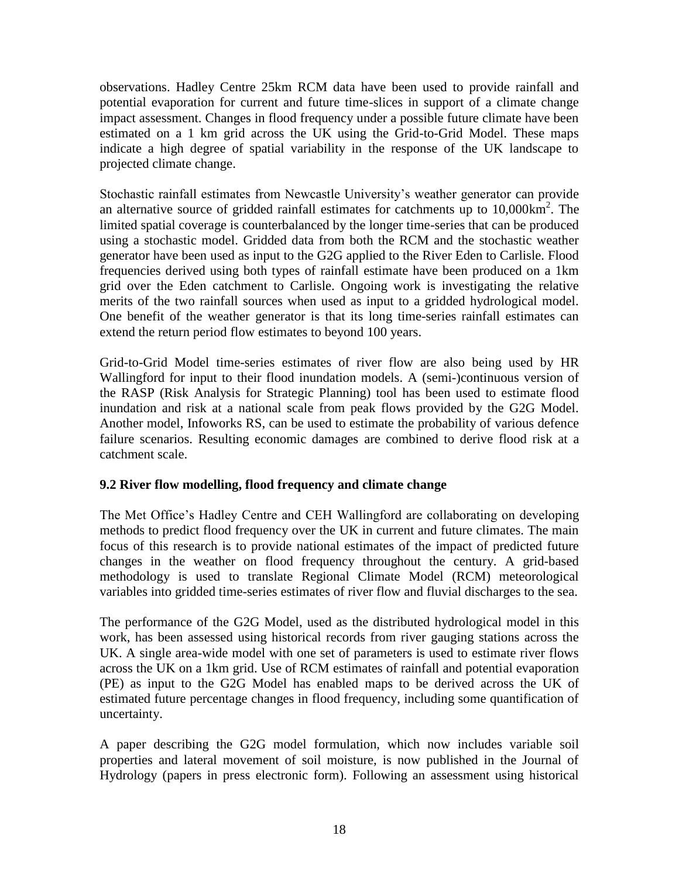observations. Hadley Centre 25km RCM data have been used to provide rainfall and potential evaporation for current and future time-slices in support of a climate change impact assessment. Changes in flood frequency under a possible future climate have been estimated on a 1 km grid across the UK using the Grid-to-Grid Model. These maps indicate a high degree of spatial variability in the response of the UK landscape to projected climate change.

Stochastic rainfall estimates from Newcastle University's weather generator can provide an alternative source of gridded rainfall estimates for catchments up to  $10,000 \text{km}^2$ . The limited spatial coverage is counterbalanced by the longer time-series that can be produced using a stochastic model. Gridded data from both the RCM and the stochastic weather generator have been used as input to the G2G applied to the River Eden to Carlisle. Flood frequencies derived using both types of rainfall estimate have been produced on a 1km grid over the Eden catchment to Carlisle. Ongoing work is investigating the relative merits of the two rainfall sources when used as input to a gridded hydrological model. One benefit of the weather generator is that its long time-series rainfall estimates can extend the return period flow estimates to beyond 100 years.

Grid-to-Grid Model time-series estimates of river flow are also being used by HR Wallingford for input to their flood inundation models. A (semi-)continuous version of the RASP (Risk Analysis for Strategic Planning) tool has been used to estimate flood inundation and risk at a national scale from peak flows provided by the G2G Model. Another model, Infoworks RS, can be used to estimate the probability of various defence failure scenarios. Resulting economic damages are combined to derive flood risk at a catchment scale.

## **9.2 River flow modelling, flood frequency and climate change**

The Met Office"s Hadley Centre and CEH Wallingford are collaborating on developing methods to predict flood frequency over the UK in current and future climates. The main focus of this research is to provide national estimates of the impact of predicted future changes in the weather on flood frequency throughout the century. A grid-based methodology is used to translate Regional Climate Model (RCM) meteorological variables into gridded time-series estimates of river flow and fluvial discharges to the sea.

The performance of the G2G Model, used as the distributed hydrological model in this work, has been assessed using historical records from river gauging stations across the UK. A single area-wide model with one set of parameters is used to estimate river flows across the UK on a 1km grid. Use of RCM estimates of rainfall and potential evaporation (PE) as input to the G2G Model has enabled maps to be derived across the UK of estimated future percentage changes in flood frequency, including some quantification of uncertainty.

A paper describing the G2G model formulation, which now includes variable soil properties and lateral movement of soil moisture, is now published in the Journal of Hydrology (papers in press electronic form). Following an assessment using historical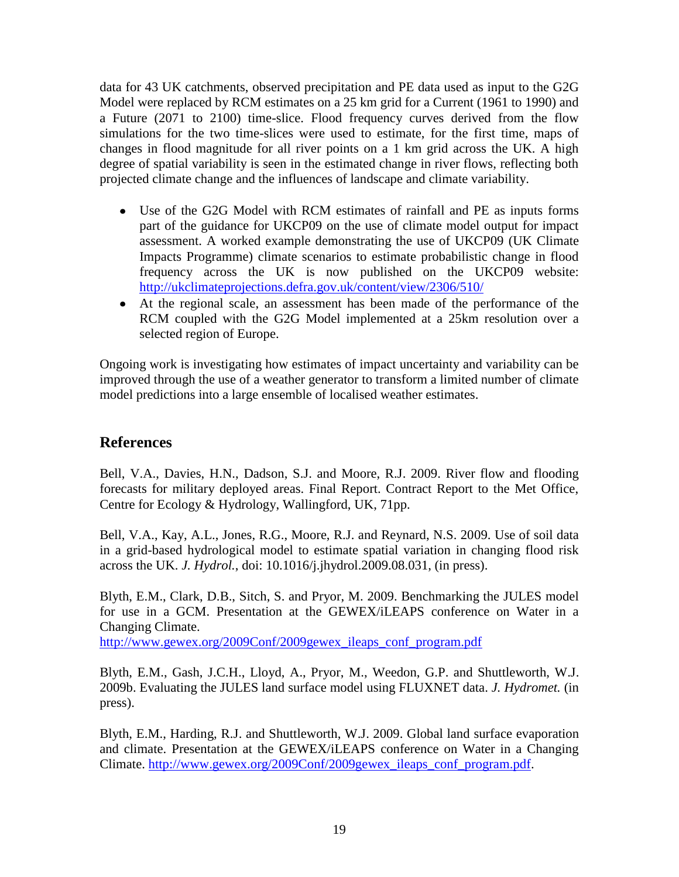data for 43 UK catchments, observed precipitation and PE data used as input to the G2G Model were replaced by RCM estimates on a 25 km grid for a Current (1961 to 1990) and a Future (2071 to 2100) time-slice. Flood frequency curves derived from the flow simulations for the two time-slices were used to estimate, for the first time, maps of changes in flood magnitude for all river points on a 1 km grid across the UK. A high degree of spatial variability is seen in the estimated change in river flows, reflecting both projected climate change and the influences of landscape and climate variability.

- Use of the G2G Model with RCM estimates of rainfall and PE as inputs forms part of the guidance for UKCP09 on the use of climate model output for impact assessment. A worked example demonstrating the use of UKCP09 (UK Climate Impacts Programme) climate scenarios to estimate probabilistic change in flood frequency across the UK is now published on the UKCP09 website: <http://ukclimateprojections.defra.gov.uk/content/view/2306/510/>
- At the regional scale, an assessment has been made of the performance of the RCM coupled with the G2G Model implemented at a 25km resolution over a selected region of Europe.

Ongoing work is investigating how estimates of impact uncertainty and variability can be improved through the use of a weather generator to transform a limited number of climate model predictions into a large ensemble of localised weather estimates.

# **References**

Bell, V.A., Davies, H.N., Dadson, S.J. and Moore, R.J. 2009. River flow and flooding forecasts for military deployed areas. Final Report. Contract Report to the Met Office, Centre for Ecology & Hydrology, Wallingford, UK, 71pp.

Bell, V.A., Kay, A.L., Jones, R.G., Moore, R.J. and Reynard, N.S. 2009. Use of soil data in a grid-based hydrological model to estimate spatial variation in changing flood risk across the UK. *J. Hydrol.*, doi: 10.1016/j.jhydrol.2009.08.031, (in press).

Blyth, E.M., Clark, D.B., Sitch, S. and Pryor, M. 2009. Benchmarking the JULES model for use in a GCM. Presentation at the GEWEX/iLEAPS conference on Water in a Changing Climate.

[http://www.gewex.org/2009Conf/2009gewex\\_ileaps\\_conf\\_program.pdf](http://www.gewex.org/2009Conf/2009gewex_ileaps_conf_program.pdf)

Blyth, E.M., Gash, J.C.H., Lloyd, A., Pryor, M., Weedon, G.P. and Shuttleworth, W.J. 2009b. Evaluating the JULES land surface model using FLUXNET data. *J. Hydromet.* (in press).

Blyth, E.M., Harding, R.J. and Shuttleworth, W.J. 2009. Global land surface evaporation and climate. Presentation at the GEWEX/iLEAPS conference on Water in a Changing Climate. [http://www.gewex.org/2009Conf/2009gewex\\_ileaps\\_conf\\_program.pdf.](http://www.gewex.org/2009Conf/2009gewex_ileaps_conf_program.pdf)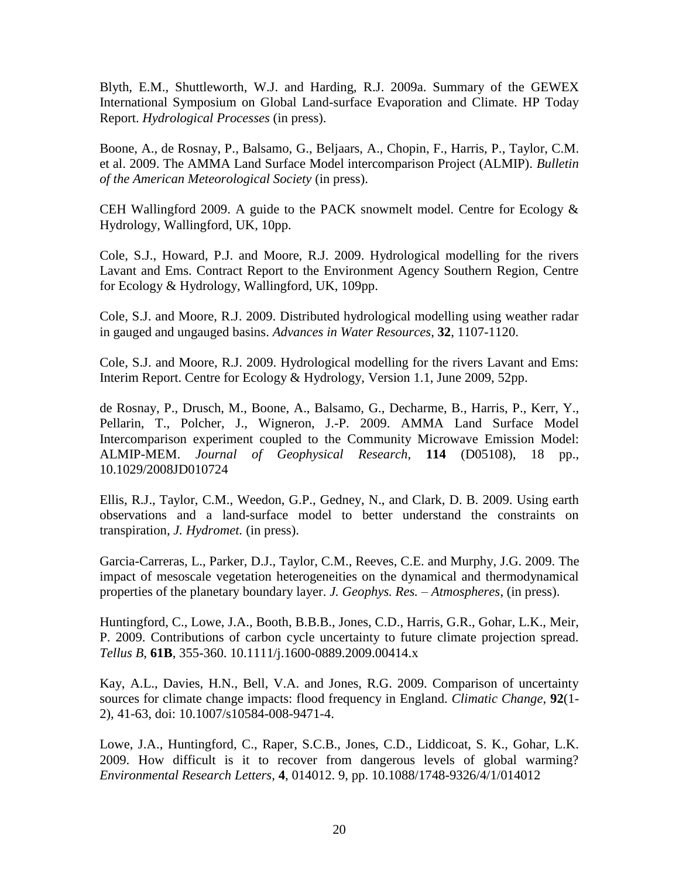Blyth, E.M., Shuttleworth, W.J. and Harding, R.J. 2009a. Summary of the GEWEX International Symposium on Global Land-surface Evaporation and Climate. HP Today Report. *Hydrological Processes* (in press).

Boone, A., de Rosnay, P., Balsamo, G., Beljaars, A., Chopin, F., Harris, P., Taylor, C.M. et al. 2009. The AMMA Land Surface Model intercomparison Project (ALMIP). *Bulletin of the American Meteorological Society* (in press).

CEH Wallingford 2009. A guide to the PACK snowmelt model. Centre for Ecology & Hydrology, Wallingford, UK, 10pp.

Cole, S.J., Howard, P.J. and Moore, R.J. 2009. Hydrological modelling for the rivers Lavant and Ems. Contract Report to the Environment Agency Southern Region, Centre for Ecology & Hydrology, Wallingford, UK, 109pp.

Cole, S.J. and Moore, R.J. 2009. Distributed hydrological modelling using weather radar in gauged and ungauged basins. *Advances in Water Resources*, **32**, 1107-1120.

Cole, S.J. and Moore, R.J. 2009. Hydrological modelling for the rivers Lavant and Ems: Interim Report. Centre for Ecology & Hydrology, Version 1.1, June 2009, 52pp.

de Rosnay, P., Drusch, M., Boone, A., Balsamo, G., Decharme, B., Harris, P., Kerr, Y., Pellarin, T., Polcher, J., Wigneron, J.-P. 2009. AMMA Land Surface Model Intercomparison experiment coupled to the Community Microwave Emission Model: ALMIP-MEM. *Journal of Geophysical Research*, **114** (D05108), 18 pp., [10.1029/2008JD010724](http://dx.doi.org/10.1029/2008JD010724)

Ellis, R.J., Taylor, C.M., Weedon, G.P., Gedney, N., and Clark, D. B. 2009. Using earth observations and a land-surface model to better understand the constraints on transpiration, *J. Hydromet.* (in press).

Garcia-Carreras, L., Parker, D.J., Taylor, C.M., Reeves, C.E. and Murphy, J.G. 2009. The impact of mesoscale vegetation heterogeneities on the dynamical and thermodynamical properties of the planetary boundary layer. *J. Geophys. Res. – Atmospheres*, (in press).

Huntingford, C., Lowe, J.A., Booth, B.B.B., Jones, C.D., Harris, G.R., Gohar, L.K., Meir, P. 2009. Contributions of carbon cycle uncertainty to future climate projection spread. *Tellus B*, **61B**, 355-360. 10.1111/j.1600-0889.2009.00414.x

Kay, A.L., Davies, H.N., Bell, V.A. and Jones, R.G. 2009. Comparison of uncertainty sources for climate change impacts: flood frequency in England. *Climatic Change*, **92**(1- 2), 41-63, doi: 10.1007/s10584-008-9471-4.

Lowe, J.A., Huntingford, C., Raper, S.C.B., Jones, C.D., Liddicoat, S. K., Gohar, L.K. 2009. How difficult is it to recover from dangerous levels of global warming? *Environmental Research Letters*, **4**, 014012. 9, pp. 10.1088/1748-9326/4/1/014012